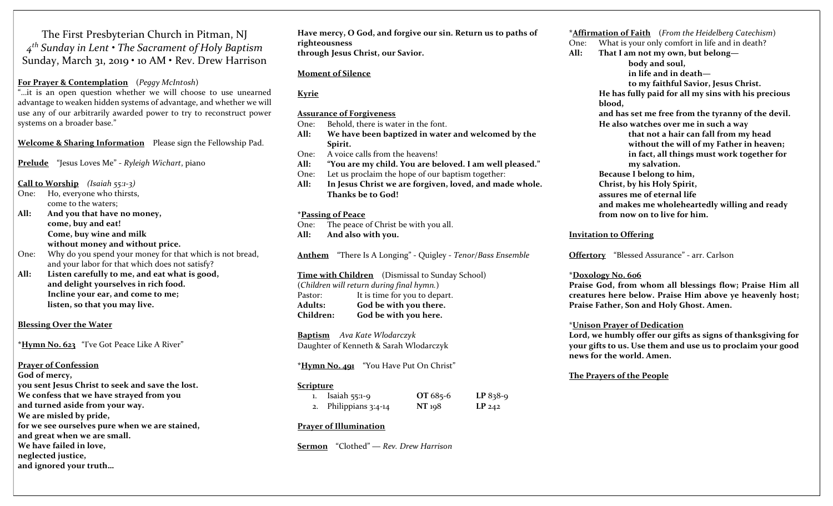The First Presbyterian Church in Pitman, NJ  $4^{th}$  Sunday in Lent  $\boldsymbol{\cdot}$  The Sacrament of Holy Baptism Sunday, March 31, 2019 • 10 AM • Rev. Drew Harrison

# For Prayer & Contemplation (Peggy McIntosh)

"…it is an open question whether we will choose to use unearned advantage to weaken hidden systems of advantage, and whether we will use any of our arbitrarily awarded power to try to reconstruct power systems on a broader base."

Welcome & Sharing Information Please sign the Fellowship Pad.

Prelude "Jesus Loves Me" - Ryleigh Wichart, piano

Call to Worship (Isaiah 55:1-3)

- One: Ho, everyone who thirsts, come to the waters;
- All: And you that have no money, come, buy and eat! Come, buy wine and milk without money and without price.
- One: Why do you spend your money for that which is not bread, and your labor for that which does not satisfy?
- All: Listen carefully to me, and eat what is good, and delight yourselves in rich food. Incline your ear, and come to me; listen, so that you may live.

# Blessing Over the Water

\*Hymn No. 623 "I've Got Peace Like A River"

Prayer of Confession

God of mercy, you sent Jesus Christ to seek and save the lost. We confess that we have strayed from you and turned aside from your way. We are misled by pride, for we see ourselves pure when we are stained, and great when we are small. We have failed in love, neglected justice, and ignored your truth…

Have mercy, O God, and forgive our sin. Return us to paths of righteousness through Jesus Christ, our Savior.

# Moment of Silence

# Kyrie

Assurance of Forgiveness

One: Behold, there is water in the font.

- All: We have been baptized in water and welcomed by the Spirit.
- One: A voice calls from the heavens!
- All: "You are my child. You are beloved. I am well pleased."
- One: Let us proclaim the hope of our baptism together:
- All: In Jesus Christ we are forgiven, loved, and made whole. Thanks be to God!

### \*Passing of Peace

One: The peace of Christ be with you all. All: And also with you.

Anthem "There Is A Longing" - Quigley - Tenor/Bass Ensemble

### Time with Children (Dismissal to Sunday School) (Children will return during final hymn.)

Pastor: It is time for you to depart. Adults: God be with you there. Children: God be with you here.

Baptism Ava Kate Wlodarczyk Daughter of Kenneth & Sarah Wlodarczyk

\*Hymn No. 491 "You Have Put On Christ"

# Scripture

| 1. Isaiah $55:1-9$    | OT $685-6$ | $LP 838-9$ |
|-----------------------|------------|------------|
| 2. Philippians 3:4-14 | NT 198     | $LP_{242}$ |

# Prayer of Illumination

Sermon "Clothed" — Rev. Drew Harrison

\***Affirmation of Faith** (From the Heidelberg Catechism) One: What is your only comfort in life and in death? All: That I am not my own, but belong body and soul, in life and in death to my faithful Savior, Jesus Christ. He has fully paid for all my sins with his precious blood, and has set me free from the tyranny of the devil. He also watches over me in such a way that not a hair can fall from my head without the will of my Father in heaven; in fact, all things must work together for my salvation. Because I belong to him, Christ, by his Holy Spirit, assures me of eternal life and makes me wholeheartedly willing and ready from now on to live for him.

### Invitation to Offering

Offertory "Blessed Assurance" - arr. Carlson

### \*Doxology No. 606

Praise God, from whom all blessings flow; Praise Him all creatures here below. Praise Him above ye heavenly host; Praise Father, Son and Holy Ghost. Amen.

### \*Unison Prayer of Dedication

Lord, we humbly offer our gifts as signs of thanksgiving for your gifts to us. Use them and use us to proclaim your good news for the world. Amen.

# The Prayers of the People